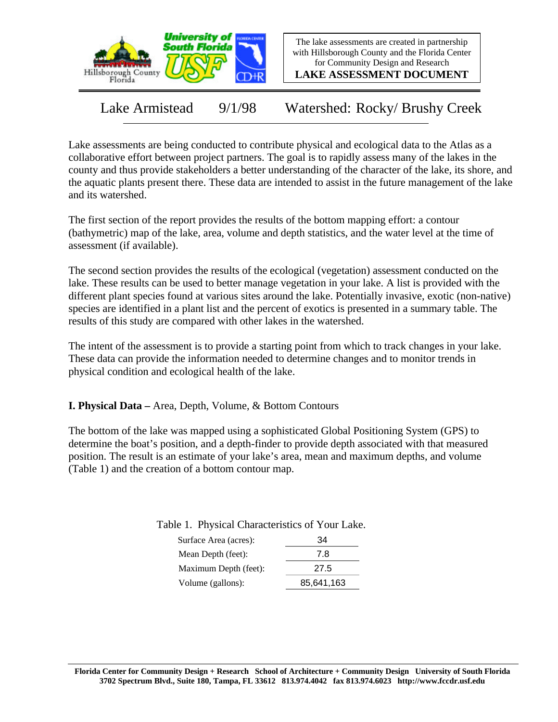

The lake assessments are created in partnership with Hillsborough County and the Florida Center for Community Design and Research

**LAKE ASSESSMENT DOCUMENT**

Lake Armistead 9/1/98 Watershed: Rocky/ Brushy Creek

Lake assessments are being conducted to contribute physical and ecological data to the Atlas as a collaborative effort between project partners. The goal is to rapidly assess many of the lakes in the county and thus provide stakeholders a better understanding of the character of the lake, its shore, and the aquatic plants present there. These data are intended to assist in the future management of the lake and its watershed.

The first section of the report provides the results of the bottom mapping effort: a contour (bathymetric) map of the lake, area, volume and depth statistics, and the water level at the time of assessment (if available).

The second section provides the results of the ecological (vegetation) assessment conducted on the lake. These results can be used to better manage vegetation in your lake. A list is provided with the different plant species found at various sites around the lake. Potentially invasive, exotic (non-native) species are identified in a plant list and the percent of exotics is presented in a summary table. The results of this study are compared with other lakes in the watershed.

The intent of the assessment is to provide a starting point from which to track changes in your lake. These data can provide the information needed to determine changes and to monitor trends in physical condition and ecological health of the lake.

**I. Physical Data –** Area, Depth, Volume, & Bottom Contours

The bottom of the lake was mapped using a sophisticated Global Positioning System (GPS) to determine the boat's position, and a depth-finder to provide depth associated with that measured position. The result is an estimate of your lake's area, mean and maximum depths, and volume (Table 1) and the creation of a bottom contour map.

Table 1. Physical Characteristics of Your Lake.

| Surface Area (acres): | 34         |
|-----------------------|------------|
| Mean Depth (feet):    | 7.8        |
| Maximum Depth (feet): | 27.5       |
| Volume (gallons):     | 85,641,163 |
|                       |            |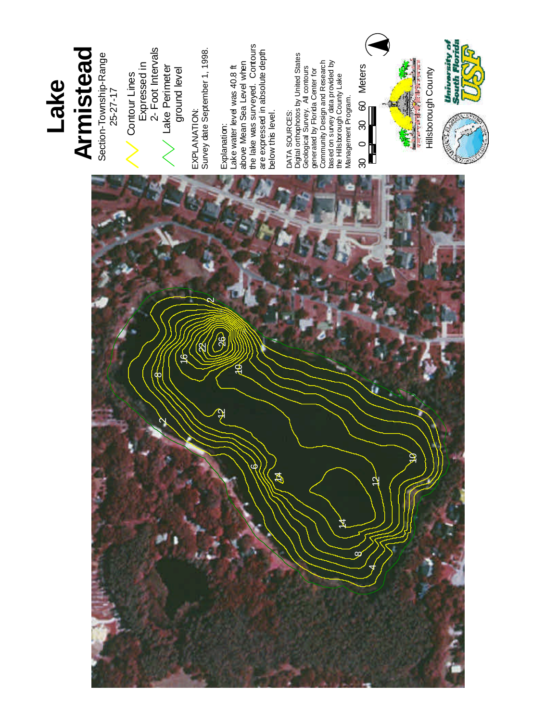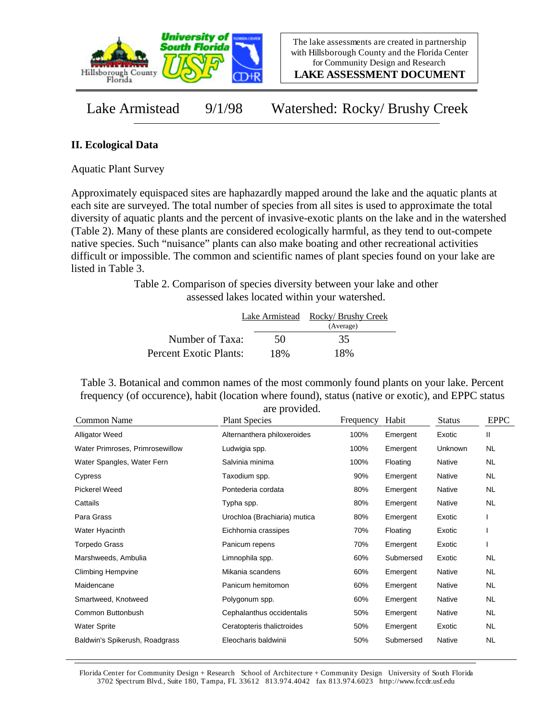

**LAKE ASSESSMENT DOCUMENT**

Lake Armistead 9/1/98 Watershed: Rocky/ Brushy Creek

## **II. Ecological Data**

Aquatic Plant Survey

Approximately equispaced sites are haphazardly mapped around the lake and the aquatic plants at each site are surveyed. The total number of species from all sites is used to approximate the total diversity of aquatic plants and the percent of invasive-exotic plants on the lake and in the watershed (Table 2). Many of these plants are considered ecologically harmful, as they tend to out-compete native species. Such "nuisance" plants can also make boating and other recreational activities difficult or impossible. The common and scientific names of plant species found on your lake are listed in Table 3.

> Table 2. Comparison of species diversity between your lake and other assessed lakes located within your watershed.

|                        |     | Lake Armistead Rocky/ Brushy Creek |
|------------------------|-----|------------------------------------|
|                        |     | (Average)                          |
| Number of Taxa:        | 50  | 35                                 |
| Percent Exotic Plants: | 18% | 18%                                |

Table 3. Botanical and common names of the most commonly found plants on your lake. Percent frequency (of occurence), habit (location where found), status (native or exotic), and EPPC status are provided.

| Common Name                     | <b>Plant Species</b>         | Frequency | Habit     | <b>Status</b> | <b>EPPC</b> |
|---------------------------------|------------------------------|-----------|-----------|---------------|-------------|
| Alligator Weed                  | Alternanthera philoxeroides  | 100%      | Emergent  | Exotic        | Ш           |
| Water Primroses, Primrosewillow | Ludwigia spp.                | 100%      | Emergent  | Unknown       | NL.         |
| Water Spangles, Water Fern      | Salvinia minima              | 100%      | Floating  | Native        | NL.         |
| Cypress                         | Taxodium spp.                | 90%       | Emergent  | Native        | NL.         |
| <b>Pickerel Weed</b>            | Pontederia cordata           | 80%       | Emergent  | Native        | NL.         |
| Cattails                        | Typha spp.                   | 80%       | Emergent  | Native        | <b>NL</b>   |
| Para Grass                      | Urochloa (Brachiaria) mutica | 80%       | Emergent  | Exotic        |             |
| Water Hyacinth                  | Eichhornia crassipes         | 70%       | Floating  | Exotic        |             |
| <b>Torpedo Grass</b>            | Panicum repens               | 70%       | Emergent  | Exotic        |             |
| Marshweeds, Ambulia             | Limnophila spp.              | 60%       | Submersed | Exotic        | <b>NL</b>   |
| <b>Climbing Hempvine</b>        | Mikania scandens             | 60%       | Emergent  | Native        | <b>NL</b>   |
| Maidencane                      | Panicum hemitomon            | 60%       | Emergent  | Native        | <b>NL</b>   |
| Smartweed, Knotweed             | Polygonum spp.               | 60%       | Emergent  | Native        | <b>NL</b>   |
| Common Buttonbush               | Cephalanthus occidentalis    | 50%       | Emergent  | Native        | NL.         |
| <b>Water Sprite</b>             | Ceratopteris thalictroides   | 50%       | Emergent  | Exotic        | <b>NL</b>   |
| Baldwin's Spikerush, Roadgrass  | Eleocharis baldwinii         | 50%       | Submersed | Native        | <b>NL</b>   |

Florida Center for Community Design + Research School of Architecture + Community Design University of South Florida 3702 Spectrum Blvd., Suite 180, Tampa, FL 33612 813.974.4042 fax 813.974.6023 http://www.fccdr.usf.edu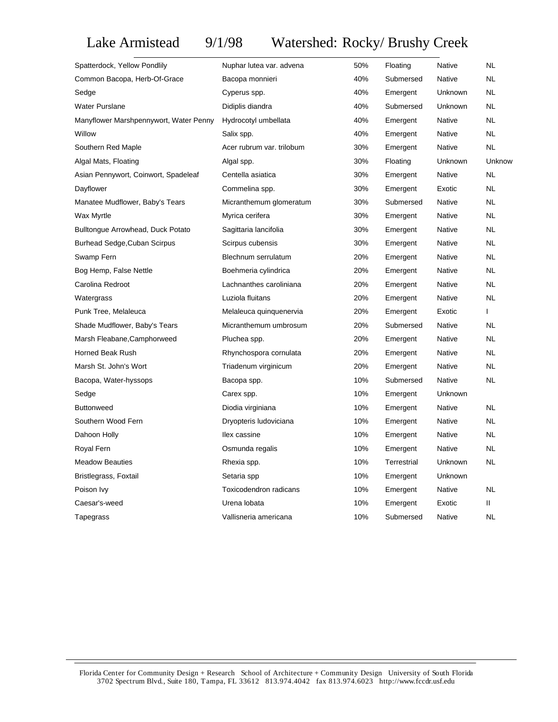## Lake Armistead 9/1/98 Watershed: Rocky/ Brushy Creek

| Spatterdock, Yellow Pondlily           | Nuphar lutea var. advena  | 50% | Floating    | Native  | NL.          |
|----------------------------------------|---------------------------|-----|-------------|---------|--------------|
| Common Bacopa, Herb-Of-Grace           | Bacopa monnieri           | 40% | Submersed   | Native  | <b>NL</b>    |
| Sedge                                  | Cyperus spp.              | 40% | Emergent    | Unknown | <b>NL</b>    |
| <b>Water Purslane</b>                  | Didiplis diandra          | 40% | Submersed   | Unknown | <b>NL</b>    |
| Manyflower Marshpennywort, Water Penny | Hydrocotyl umbellata      | 40% | Emergent    | Native  | <b>NL</b>    |
| Willow                                 | Salix spp.                | 40% | Emergent    | Native  | <b>NL</b>    |
| Southern Red Maple                     | Acer rubrum var. trilobum | 30% | Emergent    | Native  | <b>NL</b>    |
| Algal Mats, Floating                   | Algal spp.                | 30% | Floating    | Unknown | Unknow       |
| Asian Pennywort, Coinwort, Spadeleaf   | Centella asiatica         | 30% | Emergent    | Native  | <b>NL</b>    |
| Dayflower                              | Commelina spp.            | 30% | Emergent    | Exotic  | <b>NL</b>    |
| Manatee Mudflower, Baby's Tears        | Micranthemum glomeratum   | 30% | Submersed   | Native  | <b>NL</b>    |
| Wax Myrtle                             | Myrica cerifera           | 30% | Emergent    | Native  | <b>NL</b>    |
| Bulltongue Arrowhead, Duck Potato      | Sagittaria lancifolia     | 30% | Emergent    | Native  | <b>NL</b>    |
| <b>Burhead Sedge, Cuban Scirpus</b>    | Scirpus cubensis          | 30% | Emergent    | Native  | <b>NL</b>    |
| Swamp Fern                             | Blechnum serrulatum       | 20% | Emergent    | Native  | <b>NL</b>    |
| Bog Hemp, False Nettle                 | Boehmeria cylindrica      | 20% | Emergent    | Native  | <b>NL</b>    |
| Carolina Redroot                       | Lachnanthes caroliniana   | 20% | Emergent    | Native  | <b>NL</b>    |
| Watergrass                             | Luziola fluitans          | 20% | Emergent    | Native  | <b>NL</b>    |
| Punk Tree, Melaleuca                   | Melaleuca quinquenervia   | 20% | Emergent    | Exotic  | $\mathbf{I}$ |
| Shade Mudflower, Baby's Tears          | Micranthemum umbrosum     | 20% | Submersed   | Native  | <b>NL</b>    |
| Marsh Fleabane, Camphorweed            | Pluchea spp.              | 20% | Emergent    | Native  | <b>NL</b>    |
| Horned Beak Rush                       | Rhynchospora cornulata    | 20% | Emergent    | Native  | <b>NL</b>    |
| Marsh St. John's Wort                  | Triadenum virginicum      | 20% | Emergent    | Native  | <b>NL</b>    |
| Bacopa, Water-hyssops                  | Bacopa spp.               | 10% | Submersed   | Native  | <b>NL</b>    |
| Sedge                                  | Carex spp.                | 10% | Emergent    | Unknown |              |
| <b>Buttonweed</b>                      | Diodia virginiana         | 10% | Emergent    | Native  | NL.          |
| Southern Wood Fern                     | Dryopteris Iudoviciana    | 10% | Emergent    | Native  | <b>NL</b>    |
| Dahoon Holly                           | llex cassine              | 10% | Emergent    | Native  | <b>NL</b>    |
| Royal Fern                             | Osmunda regalis           | 10% | Emergent    | Native  | <b>NL</b>    |
| <b>Meadow Beauties</b>                 | Rhexia spp.               | 10% | Terrestrial | Unknown | <b>NL</b>    |
| Bristlegrass, Foxtail                  | Setaria spp               | 10% | Emergent    | Unknown |              |
| Poison Ivy                             | Toxicodendron radicans    | 10% | Emergent    | Native  | <b>NL</b>    |
| Caesar's-weed                          | Urena lobata              | 10% | Emergent    | Exotic  | Ш            |
| Tapegrass                              | Vallisneria americana     | 10% | Submersed   | Native  | <b>NL</b>    |
|                                        |                           |     |             |         |              |